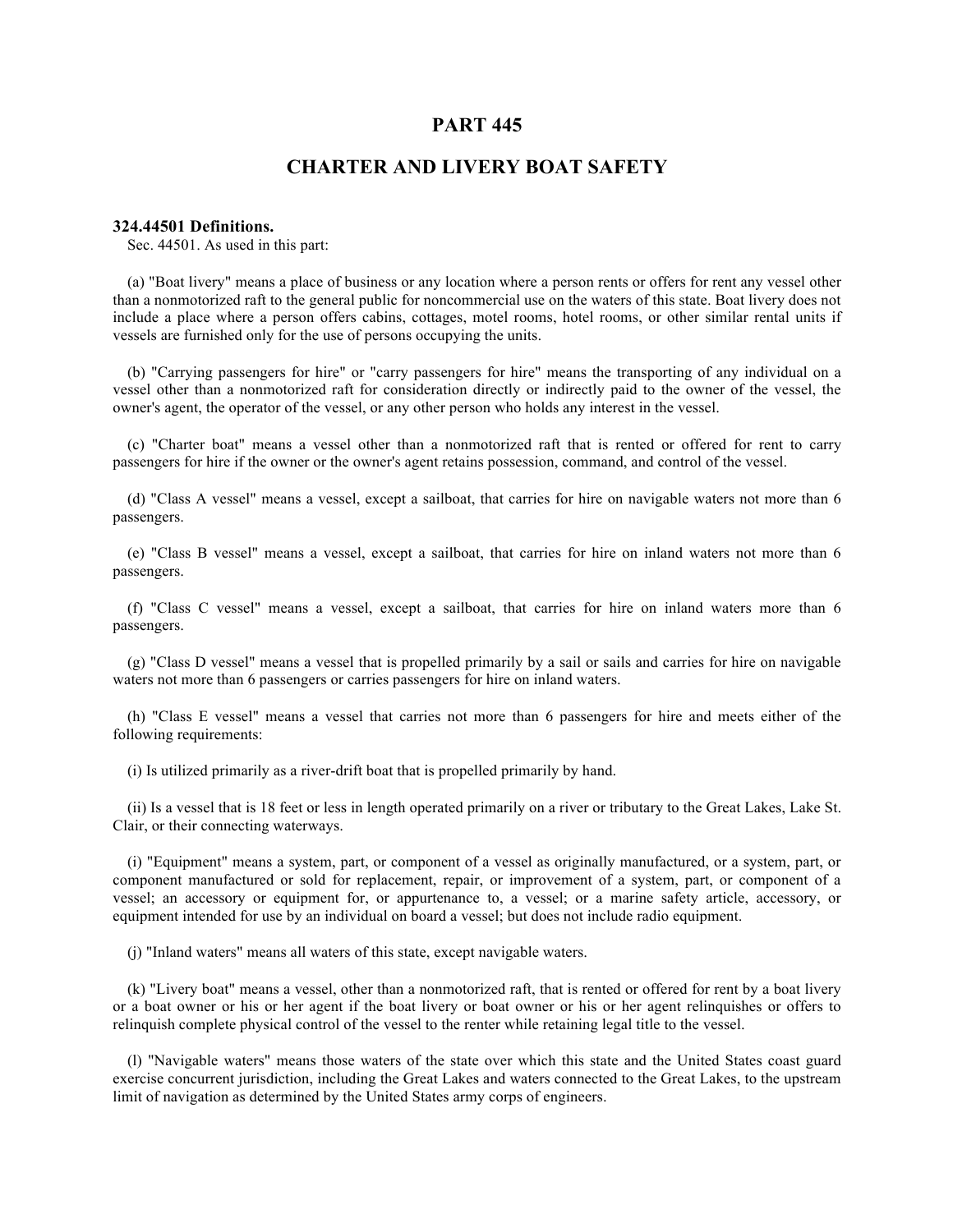# **PART 445**

# **CHARTER AND LIVERY BOAT SAFETY**

### **324.44501 Definitions.**

Sec. 44501. As used in this part:

(a) "Boat livery" means a place of business or any location where a person rents or offers for rent any vessel other than a nonmotorized raft to the general public for noncommercial use on the waters of this state. Boat livery does not include a place where a person offers cabins, cottages, motel rooms, hotel rooms, or other similar rental units if vessels are furnished only for the use of persons occupying the units.

(b) "Carrying passengers for hire" or "carry passengers for hire" means the transporting of any individual on a vessel other than a nonmotorized raft for consideration directly or indirectly paid to the owner of the vessel, the owner's agent, the operator of the vessel, or any other person who holds any interest in the vessel.

(c) "Charter boat" means a vessel other than a nonmotorized raft that is rented or offered for rent to carry passengers for hire if the owner or the owner's agent retains possession, command, and control of the vessel.

(d) "Class A vessel" means a vessel, except a sailboat, that carries for hire on navigable waters not more than 6 passengers.

(e) "Class B vessel" means a vessel, except a sailboat, that carries for hire on inland waters not more than 6 passengers.

(f) "Class C vessel" means a vessel, except a sailboat, that carries for hire on inland waters more than 6 passengers.

(g) "Class D vessel" means a vessel that is propelled primarily by a sail or sails and carries for hire on navigable waters not more than 6 passengers or carries passengers for hire on inland waters.

(h) "Class E vessel" means a vessel that carries not more than 6 passengers for hire and meets either of the following requirements:

(i) Is utilized primarily as a river-drift boat that is propelled primarily by hand.

(ii) Is a vessel that is 18 feet or less in length operated primarily on a river or tributary to the Great Lakes, Lake St. Clair, or their connecting waterways.

(i) "Equipment" means a system, part, or component of a vessel as originally manufactured, or a system, part, or component manufactured or sold for replacement, repair, or improvement of a system, part, or component of a vessel; an accessory or equipment for, or appurtenance to, a vessel; or a marine safety article, accessory, or equipment intended for use by an individual on board a vessel; but does not include radio equipment.

(j) "Inland waters" means all waters of this state, except navigable waters.

(k) "Livery boat" means a vessel, other than a nonmotorized raft, that is rented or offered for rent by a boat livery or a boat owner or his or her agent if the boat livery or boat owner or his or her agent relinquishes or offers to relinquish complete physical control of the vessel to the renter while retaining legal title to the vessel.

(l) "Navigable waters" means those waters of the state over which this state and the United States coast guard exercise concurrent jurisdiction, including the Great Lakes and waters connected to the Great Lakes, to the upstream limit of navigation as determined by the United States army corps of engineers.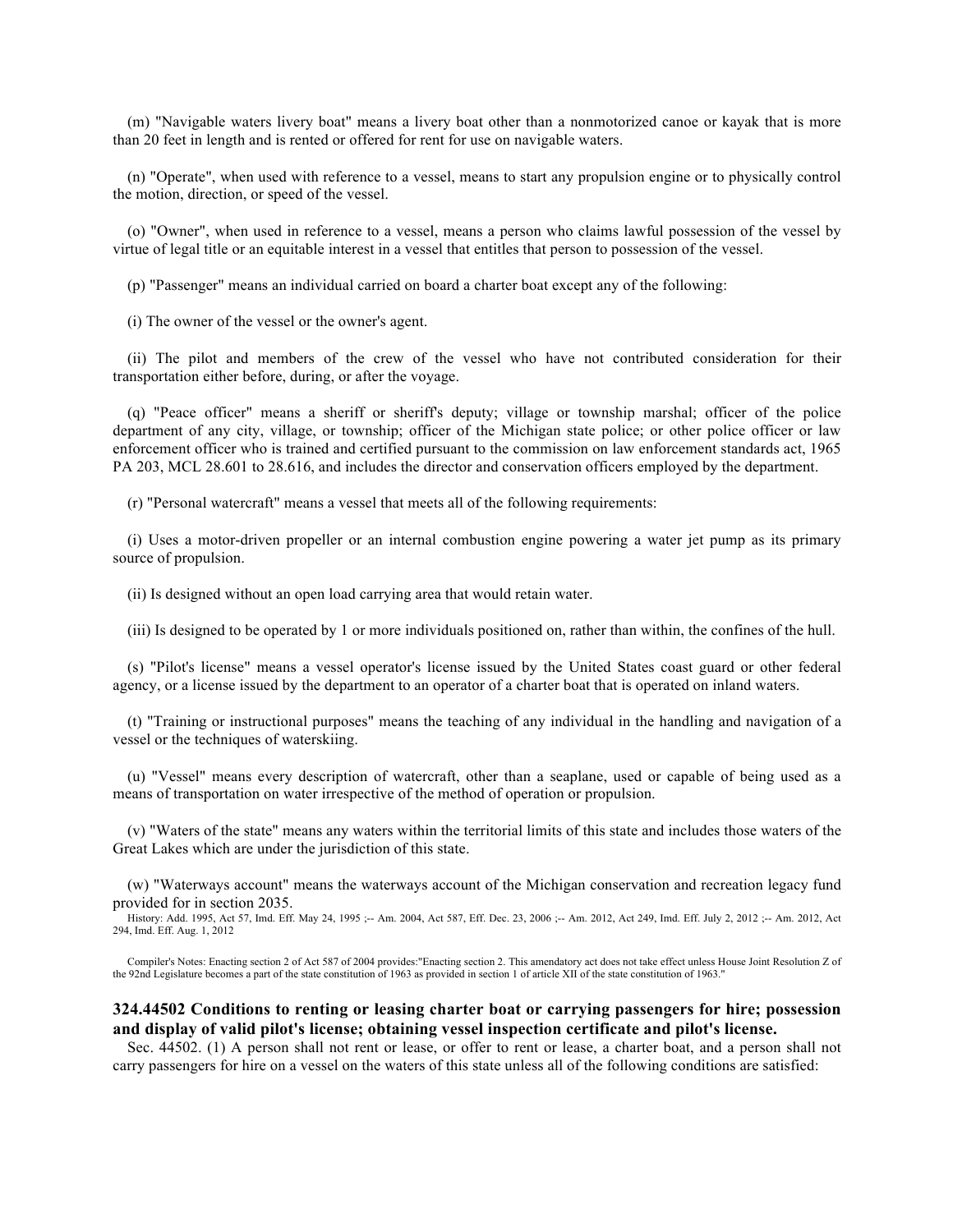(m) "Navigable waters livery boat" means a livery boat other than a nonmotorized canoe or kayak that is more than 20 feet in length and is rented or offered for rent for use on navigable waters.

(n) "Operate", when used with reference to a vessel, means to start any propulsion engine or to physically control the motion, direction, or speed of the vessel.

(o) "Owner", when used in reference to a vessel, means a person who claims lawful possession of the vessel by virtue of legal title or an equitable interest in a vessel that entitles that person to possession of the vessel.

(p) "Passenger" means an individual carried on board a charter boat except any of the following:

(i) The owner of the vessel or the owner's agent.

(ii) The pilot and members of the crew of the vessel who have not contributed consideration for their transportation either before, during, or after the voyage.

(q) "Peace officer" means a sheriff or sheriff's deputy; village or township marshal; officer of the police department of any city, village, or township; officer of the Michigan state police; or other police officer or law enforcement officer who is trained and certified pursuant to the commission on law enforcement standards act, 1965 PA 203, MCL 28.601 to 28.616, and includes the director and conservation officers employed by the department.

(r) "Personal watercraft" means a vessel that meets all of the following requirements:

(i) Uses a motor-driven propeller or an internal combustion engine powering a water jet pump as its primary source of propulsion.

(ii) Is designed without an open load carrying area that would retain water.

(iii) Is designed to be operated by 1 or more individuals positioned on, rather than within, the confines of the hull.

(s) "Pilot's license" means a vessel operator's license issued by the United States coast guard or other federal agency, or a license issued by the department to an operator of a charter boat that is operated on inland waters.

(t) "Training or instructional purposes" means the teaching of any individual in the handling and navigation of a vessel or the techniques of waterskiing.

(u) "Vessel" means every description of watercraft, other than a seaplane, used or capable of being used as a means of transportation on water irrespective of the method of operation or propulsion.

(v) "Waters of the state" means any waters within the territorial limits of this state and includes those waters of the Great Lakes which are under the jurisdiction of this state.

(w) "Waterways account" means the waterways account of the Michigan conservation and recreation legacy fund provided for in section 2035.

History: Add. 1995, Act 57, Imd. Eff. May 24, 1995 ;-- Am. 2004, Act 587, Eff. Dec. 23, 2006 ;-- Am. 2012, Act 249, Imd. Eff. July 2, 2012 ;-- Am. 2012, Act 294, Imd. Eff. Aug. 1, 2012

Compiler's Notes: Enacting section 2 of Act 587 of 2004 provides:"Enacting section 2. This amendatory act does not take effect unless House Joint Resolution Z of the 92nd Legislature becomes a part of the state constitutio

# **324.44502 Conditions to renting or leasing charter boat or carrying passengers for hire; possession and display of valid pilot's license; obtaining vessel inspection certificate and pilot's license.**

Sec. 44502. (1) A person shall not rent or lease, or offer to rent or lease, a charter boat, and a person shall not carry passengers for hire on a vessel on the waters of this state unless all of the following conditions are satisfied: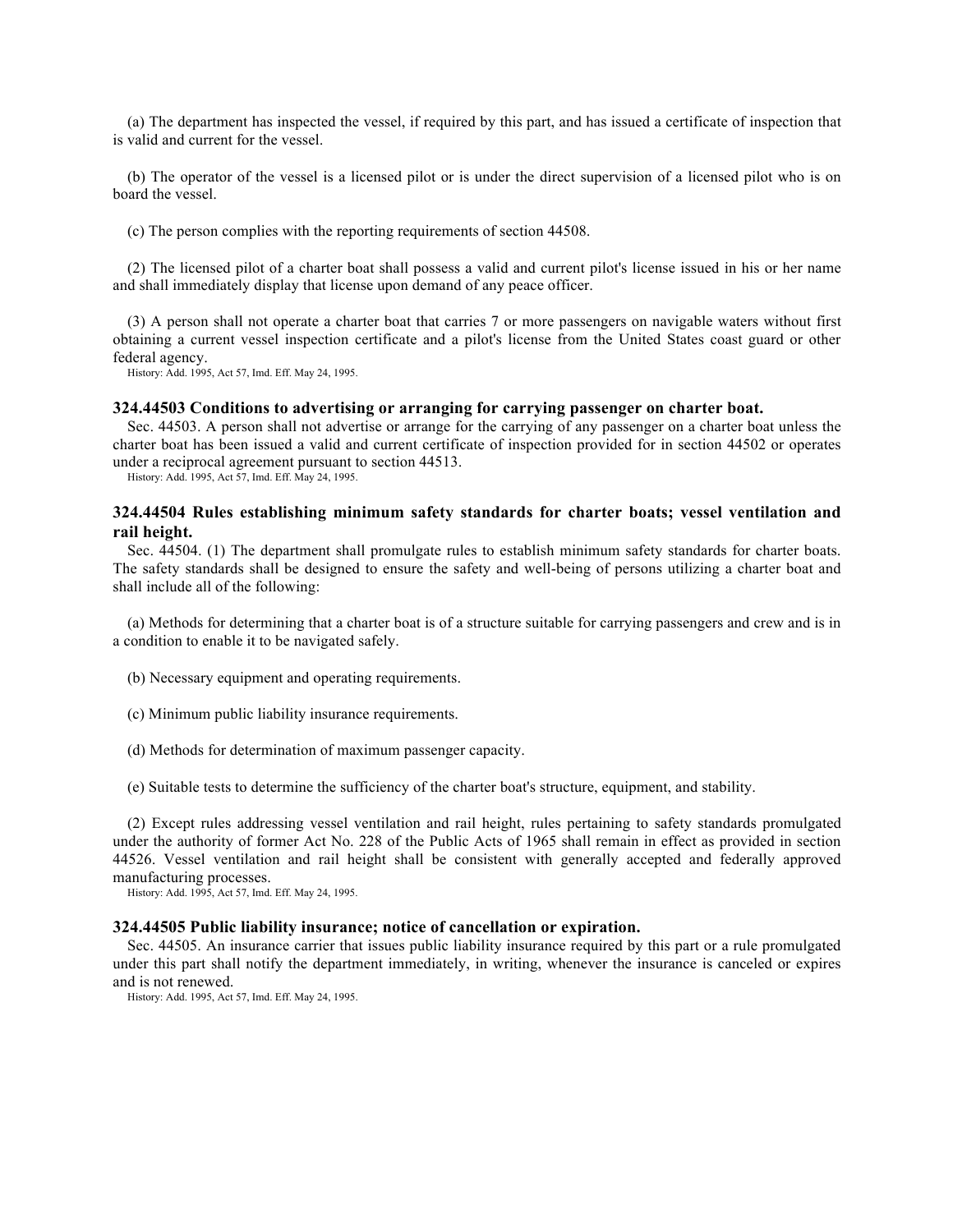(a) The department has inspected the vessel, if required by this part, and has issued a certificate of inspection that is valid and current for the vessel.

(b) The operator of the vessel is a licensed pilot or is under the direct supervision of a licensed pilot who is on board the vessel.

(c) The person complies with the reporting requirements of section 44508.

(2) The licensed pilot of a charter boat shall possess a valid and current pilot's license issued in his or her name and shall immediately display that license upon demand of any peace officer.

(3) A person shall not operate a charter boat that carries 7 or more passengers on navigable waters without first obtaining a current vessel inspection certificate and a pilot's license from the United States coast guard or other federal agency.

History: Add. 1995, Act 57, Imd. Eff. May 24, 1995.

#### **324.44503 Conditions to advertising or arranging for carrying passenger on charter boat.**

Sec. 44503. A person shall not advertise or arrange for the carrying of any passenger on a charter boat unless the charter boat has been issued a valid and current certificate of inspection provided for in section 44502 or operates under a reciprocal agreement pursuant to section 44513.

History: Add. 1995, Act 57, Imd. Eff. May 24, 1995.

# **324.44504 Rules establishing minimum safety standards for charter boats; vessel ventilation and rail height.**

Sec. 44504. (1) The department shall promulgate rules to establish minimum safety standards for charter boats. The safety standards shall be designed to ensure the safety and well-being of persons utilizing a charter boat and shall include all of the following:

(a) Methods for determining that a charter boat is of a structure suitable for carrying passengers and crew and is in a condition to enable it to be navigated safely.

- (b) Necessary equipment and operating requirements.
- (c) Minimum public liability insurance requirements.
- (d) Methods for determination of maximum passenger capacity.
- (e) Suitable tests to determine the sufficiency of the charter boat's structure, equipment, and stability.

(2) Except rules addressing vessel ventilation and rail height, rules pertaining to safety standards promulgated under the authority of former Act No. 228 of the Public Acts of 1965 shall remain in effect as provided in section 44526. Vessel ventilation and rail height shall be consistent with generally accepted and federally approved manufacturing processes.

History: Add. 1995, Act 57, Imd. Eff. May 24, 1995.

#### **324.44505 Public liability insurance; notice of cancellation or expiration.**

Sec. 44505. An insurance carrier that issues public liability insurance required by this part or a rule promulgated under this part shall notify the department immediately, in writing, whenever the insurance is canceled or expires and is not renewed.

History: Add. 1995, Act 57, Imd. Eff. May 24, 1995.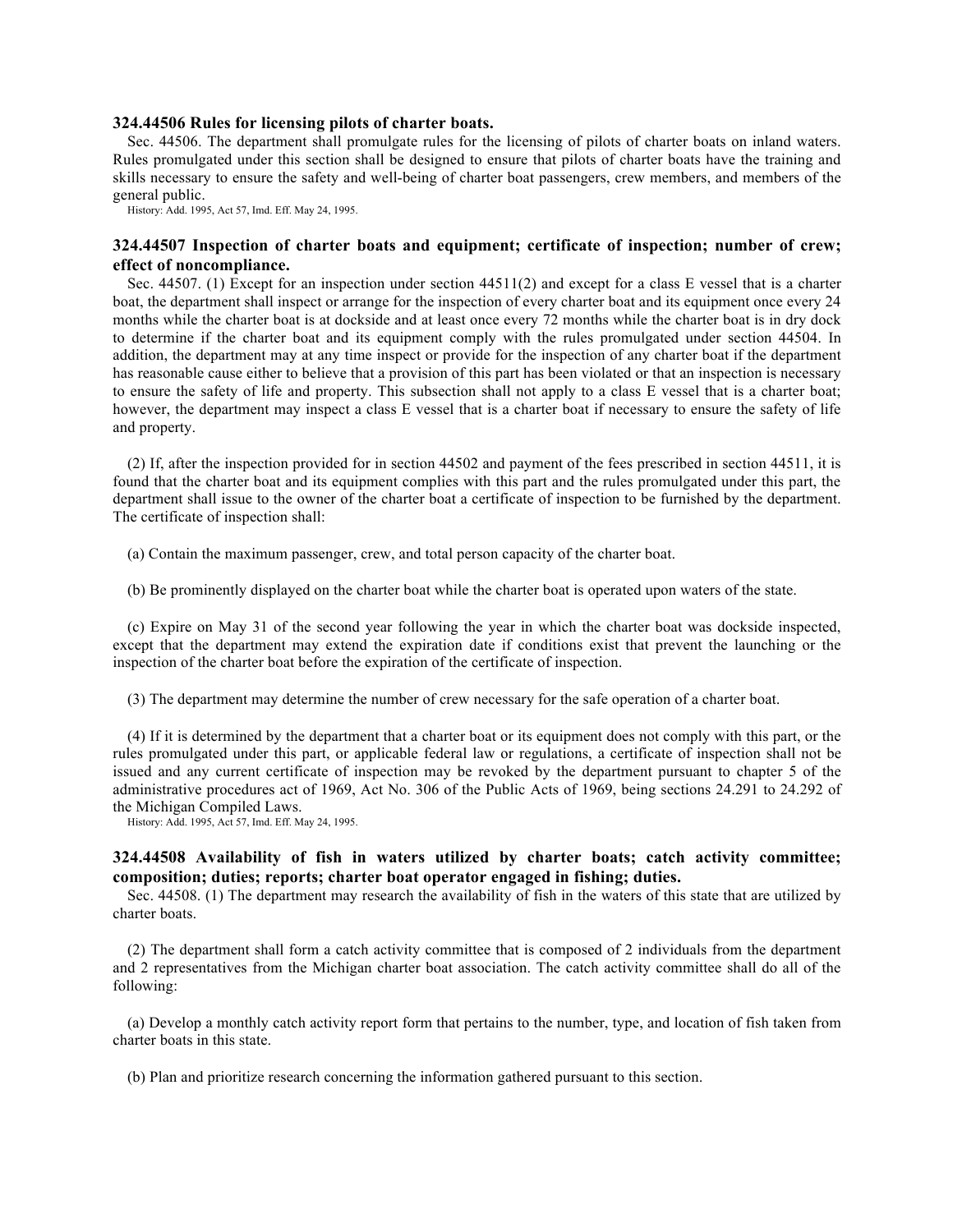#### **324.44506 Rules for licensing pilots of charter boats.**

Sec. 44506. The department shall promulgate rules for the licensing of pilots of charter boats on inland waters. Rules promulgated under this section shall be designed to ensure that pilots of charter boats have the training and skills necessary to ensure the safety and well-being of charter boat passengers, crew members, and members of the general public.

History: Add. 1995, Act 57, Imd. Eff. May 24, 1995.

# **324.44507 Inspection of charter boats and equipment; certificate of inspection; number of crew; effect of noncompliance.**

Sec. 44507. (1) Except for an inspection under section 44511(2) and except for a class E vessel that is a charter boat, the department shall inspect or arrange for the inspection of every charter boat and its equipment once every 24 months while the charter boat is at dockside and at least once every 72 months while the charter boat is in dry dock to determine if the charter boat and its equipment comply with the rules promulgated under section 44504. In addition, the department may at any time inspect or provide for the inspection of any charter boat if the department has reasonable cause either to believe that a provision of this part has been violated or that an inspection is necessary to ensure the safety of life and property. This subsection shall not apply to a class E vessel that is a charter boat; however, the department may inspect a class E vessel that is a charter boat if necessary to ensure the safety of life and property.

(2) If, after the inspection provided for in section 44502 and payment of the fees prescribed in section 44511, it is found that the charter boat and its equipment complies with this part and the rules promulgated under this part, the department shall issue to the owner of the charter boat a certificate of inspection to be furnished by the department. The certificate of inspection shall:

(a) Contain the maximum passenger, crew, and total person capacity of the charter boat.

(b) Be prominently displayed on the charter boat while the charter boat is operated upon waters of the state.

(c) Expire on May 31 of the second year following the year in which the charter boat was dockside inspected, except that the department may extend the expiration date if conditions exist that prevent the launching or the inspection of the charter boat before the expiration of the certificate of inspection.

(3) The department may determine the number of crew necessary for the safe operation of a charter boat.

(4) If it is determined by the department that a charter boat or its equipment does not comply with this part, or the rules promulgated under this part, or applicable federal law or regulations, a certificate of inspection shall not be issued and any current certificate of inspection may be revoked by the department pursuant to chapter 5 of the administrative procedures act of 1969, Act No. 306 of the Public Acts of 1969, being sections 24.291 to 24.292 of the Michigan Compiled Laws.

History: Add. 1995, Act 57, Imd. Eff. May 24, 1995.

# **324.44508 Availability of fish in waters utilized by charter boats; catch activity committee; composition; duties; reports; charter boat operator engaged in fishing; duties.**

Sec. 44508. (1) The department may research the availability of fish in the waters of this state that are utilized by charter boats.

(2) The department shall form a catch activity committee that is composed of 2 individuals from the department and 2 representatives from the Michigan charter boat association. The catch activity committee shall do all of the following:

(a) Develop a monthly catch activity report form that pertains to the number, type, and location of fish taken from charter boats in this state.

(b) Plan and prioritize research concerning the information gathered pursuant to this section.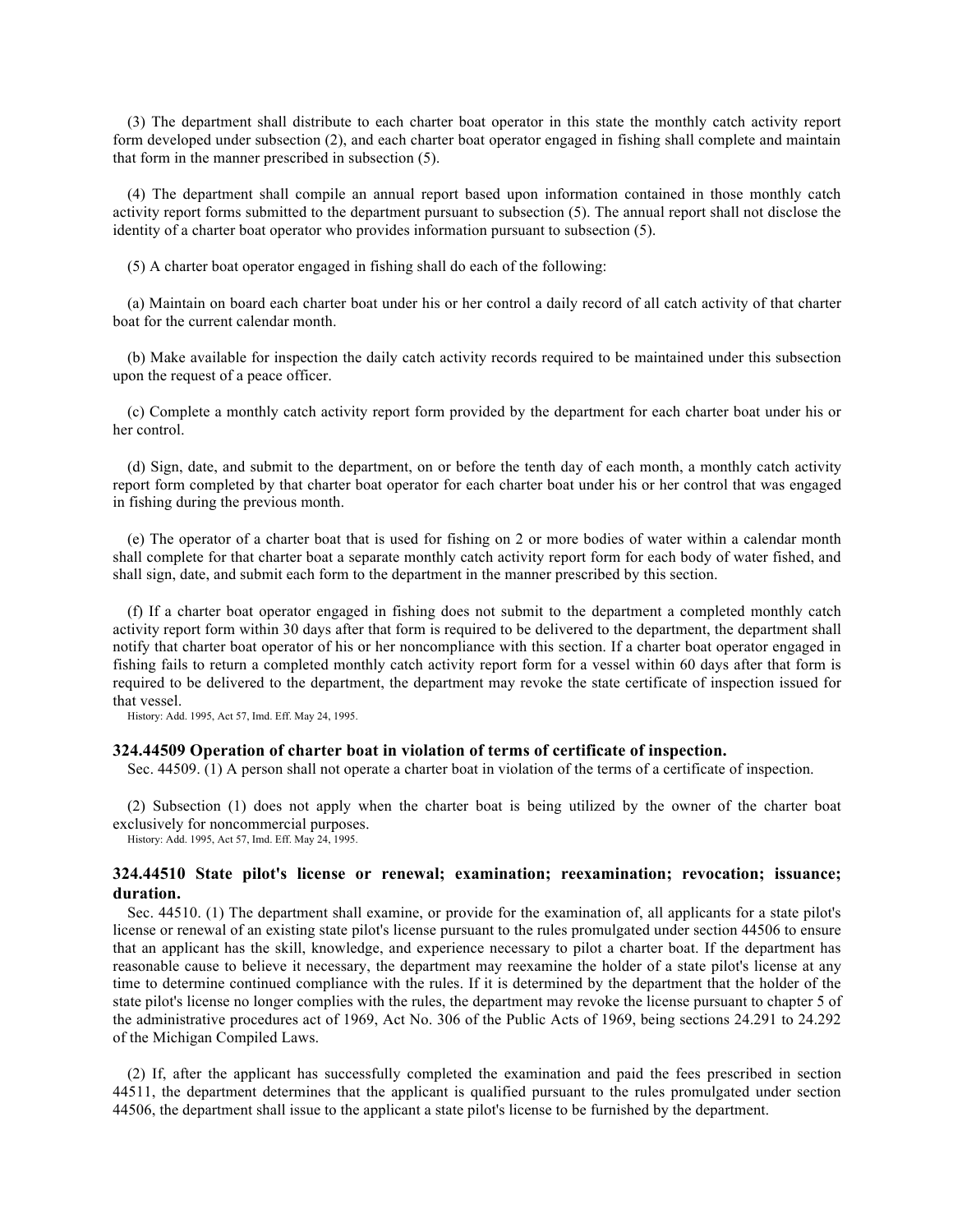(3) The department shall distribute to each charter boat operator in this state the monthly catch activity report form developed under subsection (2), and each charter boat operator engaged in fishing shall complete and maintain that form in the manner prescribed in subsection (5).

(4) The department shall compile an annual report based upon information contained in those monthly catch activity report forms submitted to the department pursuant to subsection (5). The annual report shall not disclose the identity of a charter boat operator who provides information pursuant to subsection (5).

(5) A charter boat operator engaged in fishing shall do each of the following:

(a) Maintain on board each charter boat under his or her control a daily record of all catch activity of that charter boat for the current calendar month.

(b) Make available for inspection the daily catch activity records required to be maintained under this subsection upon the request of a peace officer.

(c) Complete a monthly catch activity report form provided by the department for each charter boat under his or her control.

(d) Sign, date, and submit to the department, on or before the tenth day of each month, a monthly catch activity report form completed by that charter boat operator for each charter boat under his or her control that was engaged in fishing during the previous month.

(e) The operator of a charter boat that is used for fishing on 2 or more bodies of water within a calendar month shall complete for that charter boat a separate monthly catch activity report form for each body of water fished, and shall sign, date, and submit each form to the department in the manner prescribed by this section.

(f) If a charter boat operator engaged in fishing does not submit to the department a completed monthly catch activity report form within 30 days after that form is required to be delivered to the department, the department shall notify that charter boat operator of his or her noncompliance with this section. If a charter boat operator engaged in fishing fails to return a completed monthly catch activity report form for a vessel within 60 days after that form is required to be delivered to the department, the department may revoke the state certificate of inspection issued for that vessel.

History: Add. 1995, Act 57, Imd. Eff. May 24, 1995.

### **324.44509 Operation of charter boat in violation of terms of certificate of inspection.**

Sec.  $44509$ . (1) A person shall not operate a charter boat in violation of the terms of a certificate of inspection.

(2) Subsection (1) does not apply when the charter boat is being utilized by the owner of the charter boat exclusively for noncommercial purposes.

History: Add. 1995, Act 57, Imd. Eff. May 24, 1995.

# **324.44510 State pilot's license or renewal; examination; reexamination; revocation; issuance; duration.**

Sec. 44510. (1) The department shall examine, or provide for the examination of, all applicants for a state pilot's license or renewal of an existing state pilot's license pursuant to the rules promulgated under section 44506 to ensure that an applicant has the skill, knowledge, and experience necessary to pilot a charter boat. If the department has reasonable cause to believe it necessary, the department may reexamine the holder of a state pilot's license at any time to determine continued compliance with the rules. If it is determined by the department that the holder of the state pilot's license no longer complies with the rules, the department may revoke the license pursuant to chapter 5 of the administrative procedures act of 1969, Act No. 306 of the Public Acts of 1969, being sections 24.291 to 24.292 of the Michigan Compiled Laws.

(2) If, after the applicant has successfully completed the examination and paid the fees prescribed in section 44511, the department determines that the applicant is qualified pursuant to the rules promulgated under section 44506, the department shall issue to the applicant a state pilot's license to be furnished by the department.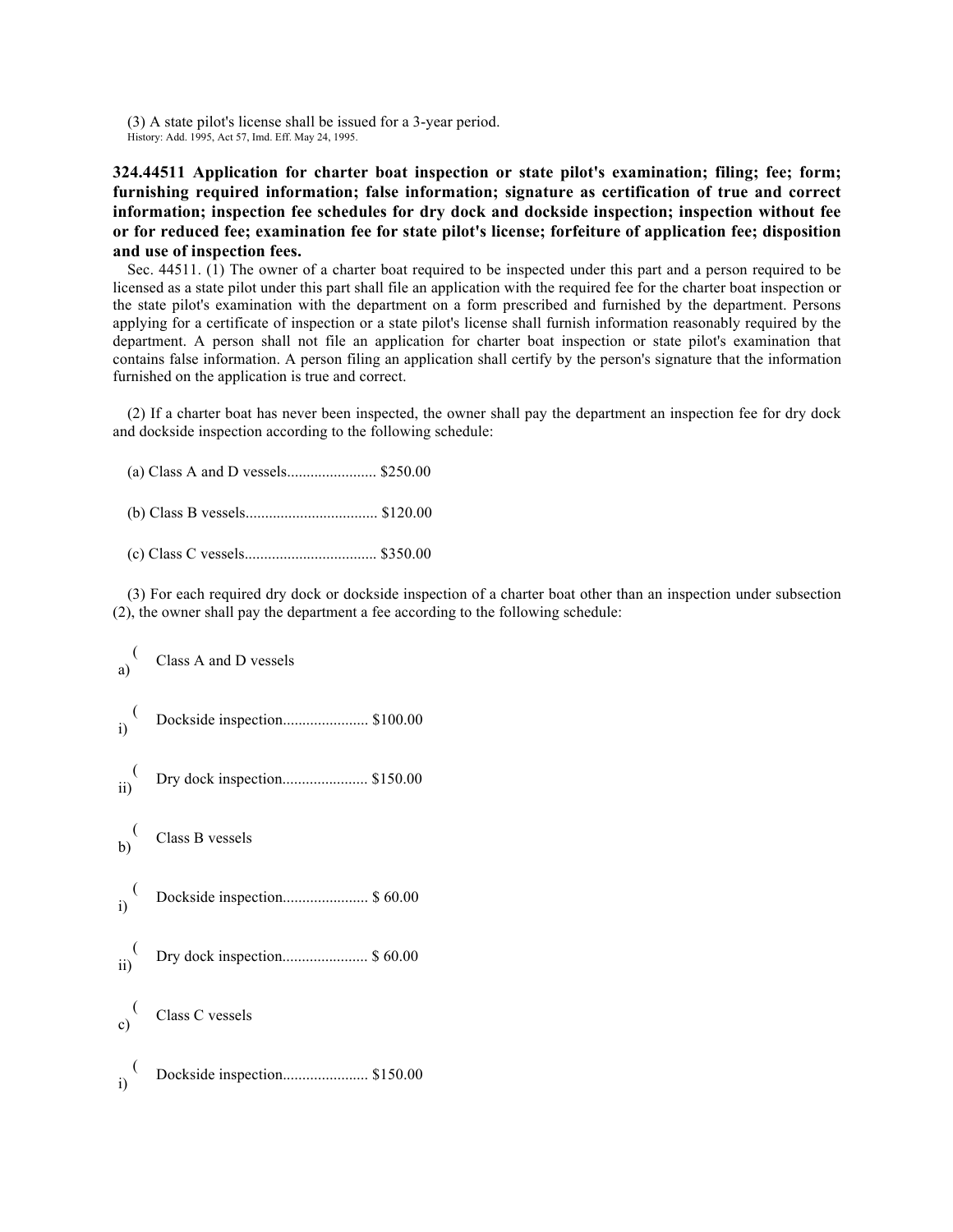(3) A state pilot's license shall be issued for a 3-year period. History: Add. 1995, Act 57, Imd. Eff. May 24, 1995.

**324.44511 Application for charter boat inspection or state pilot's examination; filing; fee; form; furnishing required information; false information; signature as certification of true and correct information; inspection fee schedules for dry dock and dockside inspection; inspection without fee or for reduced fee; examination fee for state pilot's license; forfeiture of application fee; disposition and use of inspection fees.** 

Sec. 44511. (1) The owner of a charter boat required to be inspected under this part and a person required to be licensed as a state pilot under this part shall file an application with the required fee for the charter boat inspection or the state pilot's examination with the department on a form prescribed and furnished by the department. Persons applying for a certificate of inspection or a state pilot's license shall furnish information reasonably required by the department. A person shall not file an application for charter boat inspection or state pilot's examination that contains false information. A person filing an application shall certify by the person's signature that the information furnished on the application is true and correct.

(2) If a charter boat has never been inspected, the owner shall pay the department an inspection fee for dry dock and dockside inspection according to the following schedule:

(3) For each required dry dock or dockside inspection of a charter boat other than an inspection under subsection (2), the owner shall pay the department a fee according to the following schedule:

| a)                    | Class A and D vessels             |
|-----------------------|-----------------------------------|
| $\frac{1}{i}$         | Dockside inspection \$100.00      |
| $\frac{1}{\text{ii}}$ | Dry dock inspection \$150.00      |
|                       | $b)$ <sup>(</sup> Class B vessels |
|                       |                                   |
|                       |                                   |
|                       | $\frac{1}{c}$ Class C vessels     |
| $\ddot{i}$            | Dockside inspection \$150.00      |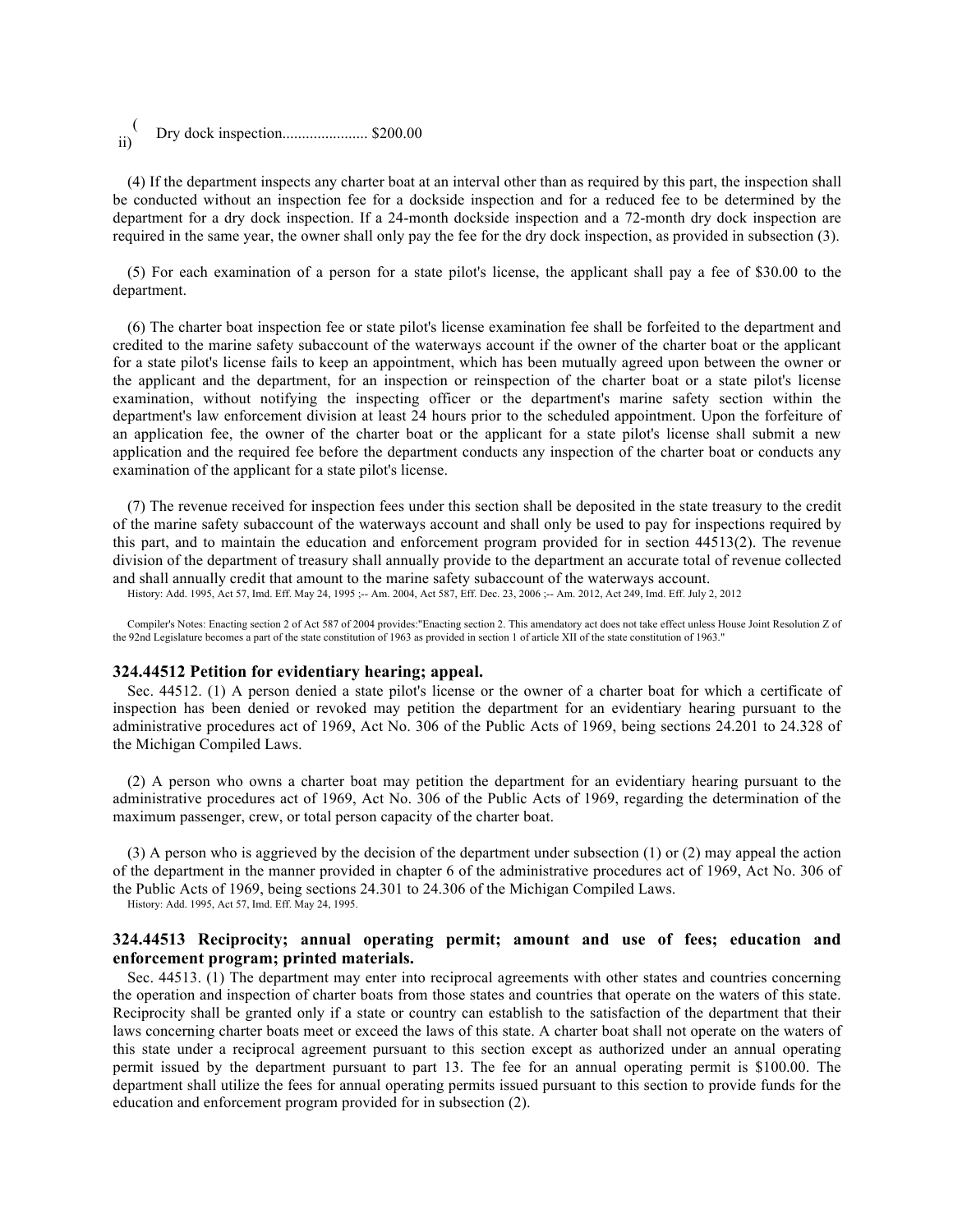| $\overline{ii}$ |  |
|-----------------|--|
|                 |  |

(4) If the department inspects any charter boat at an interval other than as required by this part, the inspection shall be conducted without an inspection fee for a dockside inspection and for a reduced fee to be determined by the department for a dry dock inspection. If a 24-month dockside inspection and a 72-month dry dock inspection are required in the same year, the owner shall only pay the fee for the dry dock inspection, as provided in subsection (3).

(5) For each examination of a person for a state pilot's license, the applicant shall pay a fee of \$30.00 to the department.

(6) The charter boat inspection fee or state pilot's license examination fee shall be forfeited to the department and credited to the marine safety subaccount of the waterways account if the owner of the charter boat or the applicant for a state pilot's license fails to keep an appointment, which has been mutually agreed upon between the owner or the applicant and the department, for an inspection or reinspection of the charter boat or a state pilot's license examination, without notifying the inspecting officer or the department's marine safety section within the department's law enforcement division at least 24 hours prior to the scheduled appointment. Upon the forfeiture of an application fee, the owner of the charter boat or the applicant for a state pilot's license shall submit a new application and the required fee before the department conducts any inspection of the charter boat or conducts any examination of the applicant for a state pilot's license.

(7) The revenue received for inspection fees under this section shall be deposited in the state treasury to the credit of the marine safety subaccount of the waterways account and shall only be used to pay for inspections required by this part, and to maintain the education and enforcement program provided for in section 44513(2). The revenue division of the department of treasury shall annually provide to the department an accurate total of revenue collected and shall annually credit that amount to the marine safety subaccount of the waterways account.

History: Add. 1995, Act 57, Imd. Eff. May 24, 1995 ;-- Am. 2004, Act 587, Eff. Dec. 23, 2006 ;-- Am. 2012, Act 249, Imd. Eff. July 2, 2012

Compiler's Notes: Enacting section 2 of Act 587 of 2004 provides:"Enacting section 2. This amendatory act does not take effect unless House Joint Resolution Z of the 92nd Legislature becomes a part of the state constitution of 1963 as provided in section 1 of article XII of the state constitution of 1963."

#### **324.44512 Petition for evidentiary hearing; appeal.**

Sec. 44512. (1) A person denied a state pilot's license or the owner of a charter boat for which a certificate of inspection has been denied or revoked may petition the department for an evidentiary hearing pursuant to the administrative procedures act of 1969, Act No. 306 of the Public Acts of 1969, being sections 24.201 to 24.328 of the Michigan Compiled Laws.

(2) A person who owns a charter boat may petition the department for an evidentiary hearing pursuant to the administrative procedures act of 1969, Act No. 306 of the Public Acts of 1969, regarding the determination of the maximum passenger, crew, or total person capacity of the charter boat.

(3) A person who is aggrieved by the decision of the department under subsection (1) or (2) may appeal the action of the department in the manner provided in chapter 6 of the administrative procedures act of 1969, Act No. 306 of the Public Acts of 1969, being sections 24.301 to 24.306 of the Michigan Compiled Laws.

History: Add. 1995, Act 57, Imd. Eff. May 24, 1995.

# **324.44513 Reciprocity; annual operating permit; amount and use of fees; education and enforcement program; printed materials.**

Sec. 44513. (1) The department may enter into reciprocal agreements with other states and countries concerning the operation and inspection of charter boats from those states and countries that operate on the waters of this state. Reciprocity shall be granted only if a state or country can establish to the satisfaction of the department that their laws concerning charter boats meet or exceed the laws of this state. A charter boat shall not operate on the waters of this state under a reciprocal agreement pursuant to this section except as authorized under an annual operating permit issued by the department pursuant to part 13. The fee for an annual operating permit is \$100.00. The department shall utilize the fees for annual operating permits issued pursuant to this section to provide funds for the education and enforcement program provided for in subsection (2).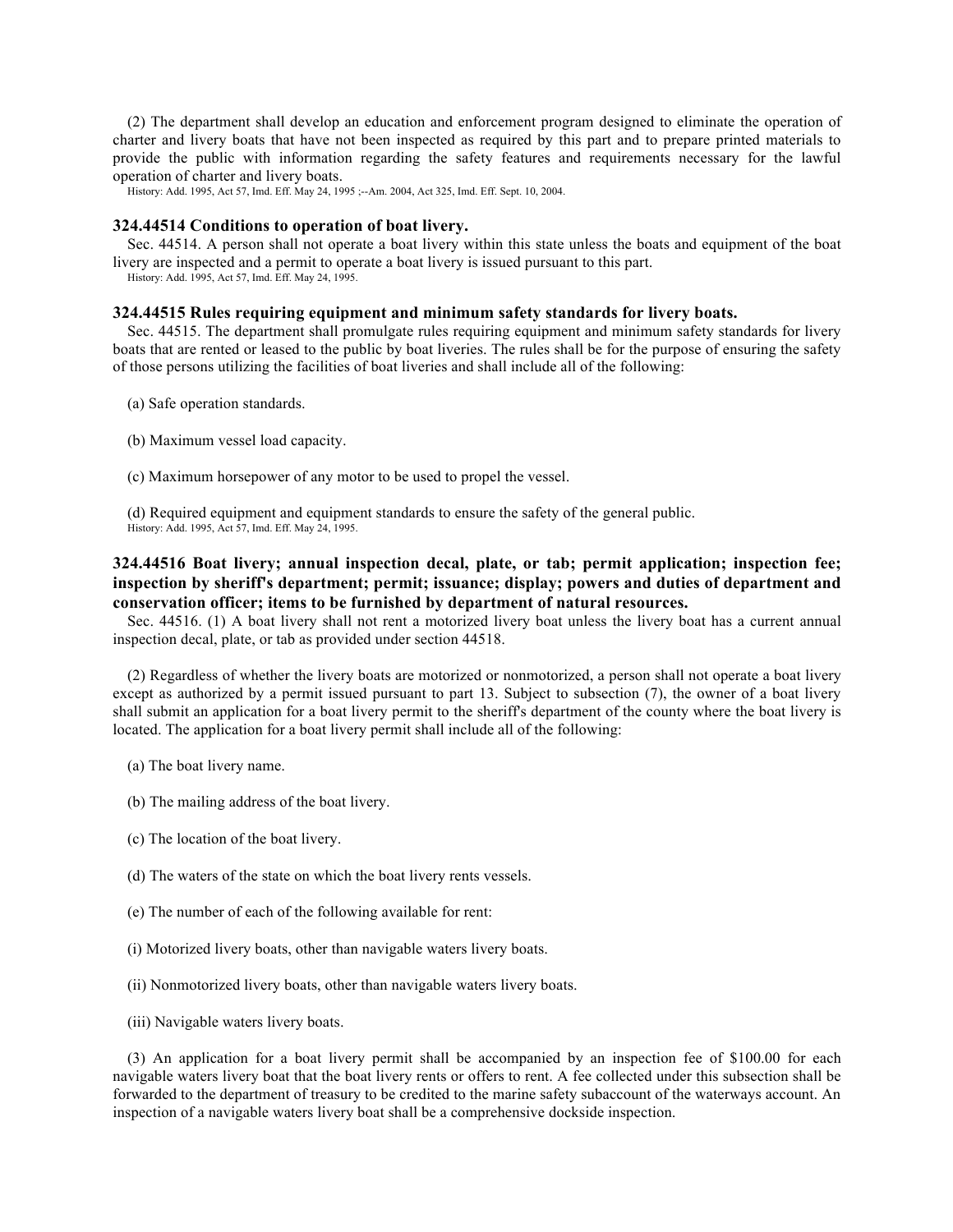(2) The department shall develop an education and enforcement program designed to eliminate the operation of charter and livery boats that have not been inspected as required by this part and to prepare printed materials to provide the public with information regarding the safety features and requirements necessary for the lawful operation of charter and livery boats.

History: Add. 1995, Act 57, Imd. Eff. May 24, 1995 ;--Am. 2004, Act 325, Imd. Eff. Sept. 10, 2004.

### **324.44514 Conditions to operation of boat livery.**

Sec. 44514. A person shall not operate a boat livery within this state unless the boats and equipment of the boat livery are inspected and a permit to operate a boat livery is issued pursuant to this part.

History: Add. 1995, Act 57, Imd. Eff. May 24, 1995.

#### **324.44515 Rules requiring equipment and minimum safety standards for livery boats.**

Sec. 44515. The department shall promulgate rules requiring equipment and minimum safety standards for livery boats that are rented or leased to the public by boat liveries. The rules shall be for the purpose of ensuring the safety of those persons utilizing the facilities of boat liveries and shall include all of the following:

- (a) Safe operation standards.
- (b) Maximum vessel load capacity.
- (c) Maximum horsepower of any motor to be used to propel the vessel.

(d) Required equipment and equipment standards to ensure the safety of the general public. History: Add. 1995, Act 57, Imd. Eff. May 24, 1995.

# **324.44516 Boat livery; annual inspection decal, plate, or tab; permit application; inspection fee; inspection by sheriff's department; permit; issuance; display; powers and duties of department and conservation officer; items to be furnished by department of natural resources.**

Sec. 44516. (1) A boat livery shall not rent a motorized livery boat unless the livery boat has a current annual inspection decal, plate, or tab as provided under section 44518.

(2) Regardless of whether the livery boats are motorized or nonmotorized, a person shall not operate a boat livery except as authorized by a permit issued pursuant to part 13. Subject to subsection (7), the owner of a boat livery shall submit an application for a boat livery permit to the sheriff's department of the county where the boat livery is located. The application for a boat livery permit shall include all of the following:

- (a) The boat livery name.
- (b) The mailing address of the boat livery.
- (c) The location of the boat livery.
- (d) The waters of the state on which the boat livery rents vessels.
- (e) The number of each of the following available for rent:
- (i) Motorized livery boats, other than navigable waters livery boats.
- (ii) Nonmotorized livery boats, other than navigable waters livery boats.
- (iii) Navigable waters livery boats.

(3) An application for a boat livery permit shall be accompanied by an inspection fee of \$100.00 for each navigable waters livery boat that the boat livery rents or offers to rent. A fee collected under this subsection shall be forwarded to the department of treasury to be credited to the marine safety subaccount of the waterways account. An inspection of a navigable waters livery boat shall be a comprehensive dockside inspection.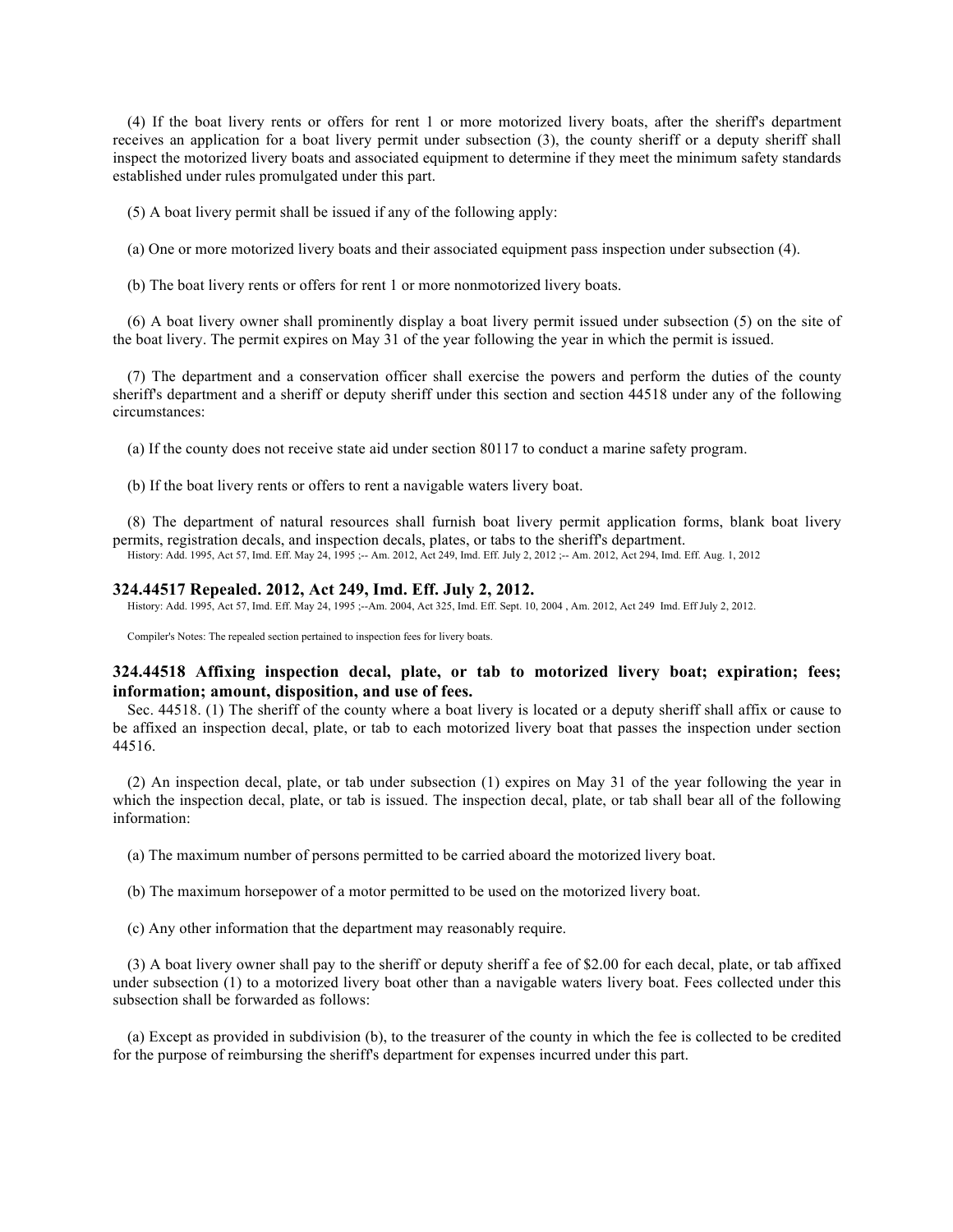(4) If the boat livery rents or offers for rent 1 or more motorized livery boats, after the sheriff's department receives an application for a boat livery permit under subsection (3), the county sheriff or a deputy sheriff shall inspect the motorized livery boats and associated equipment to determine if they meet the minimum safety standards established under rules promulgated under this part.

(5) A boat livery permit shall be issued if any of the following apply:

(a) One or more motorized livery boats and their associated equipment pass inspection under subsection (4).

(b) The boat livery rents or offers for rent 1 or more nonmotorized livery boats.

(6) A boat livery owner shall prominently display a boat livery permit issued under subsection (5) on the site of the boat livery. The permit expires on May 31 of the year following the year in which the permit is issued.

(7) The department and a conservation officer shall exercise the powers and perform the duties of the county sheriff's department and a sheriff or deputy sheriff under this section and section 44518 under any of the following circumstances:

(a) If the county does not receive state aid under section 80117 to conduct a marine safety program.

(b) If the boat livery rents or offers to rent a navigable waters livery boat.

(8) The department of natural resources shall furnish boat livery permit application forms, blank boat livery permits, registration decals, and inspection decals, plates, or tabs to the sheriff's department. History: Add. 1995, Act 57, Imd. Eff. May 24, 1995 ;-- Am. 2012, Act 249, Imd. Eff. July 2, 2012 ;-- Am. 2012, Act 294, Imd. Eff. Aug. 1, 2012

#### **324.44517 Repealed. 2012, Act 249, Imd. Eff. July 2, 2012.**

History: Add. 1995, Act 57, Imd. Eff. May 24, 1995 ;--Am. 2004, Act 325, Imd. Eff. Sept. 10, 2004 , Am. 2012, Act 249 Imd. Eff July 2, 2012.

Compiler's Notes: The repealed section pertained to inspection fees for livery boats.

### **324.44518 Affixing inspection decal, plate, or tab to motorized livery boat; expiration; fees; information; amount, disposition, and use of fees.**

Sec. 44518. (1) The sheriff of the county where a boat livery is located or a deputy sheriff shall affix or cause to be affixed an inspection decal, plate, or tab to each motorized livery boat that passes the inspection under section 44516.

(2) An inspection decal, plate, or tab under subsection (1) expires on May 31 of the year following the year in which the inspection decal, plate, or tab is issued. The inspection decal, plate, or tab shall bear all of the following information:

(a) The maximum number of persons permitted to be carried aboard the motorized livery boat.

(b) The maximum horsepower of a motor permitted to be used on the motorized livery boat.

(c) Any other information that the department may reasonably require.

(3) A boat livery owner shall pay to the sheriff or deputy sheriff a fee of \$2.00 for each decal, plate, or tab affixed under subsection (1) to a motorized livery boat other than a navigable waters livery boat. Fees collected under this subsection shall be forwarded as follows:

(a) Except as provided in subdivision (b), to the treasurer of the county in which the fee is collected to be credited for the purpose of reimbursing the sheriff's department for expenses incurred under this part.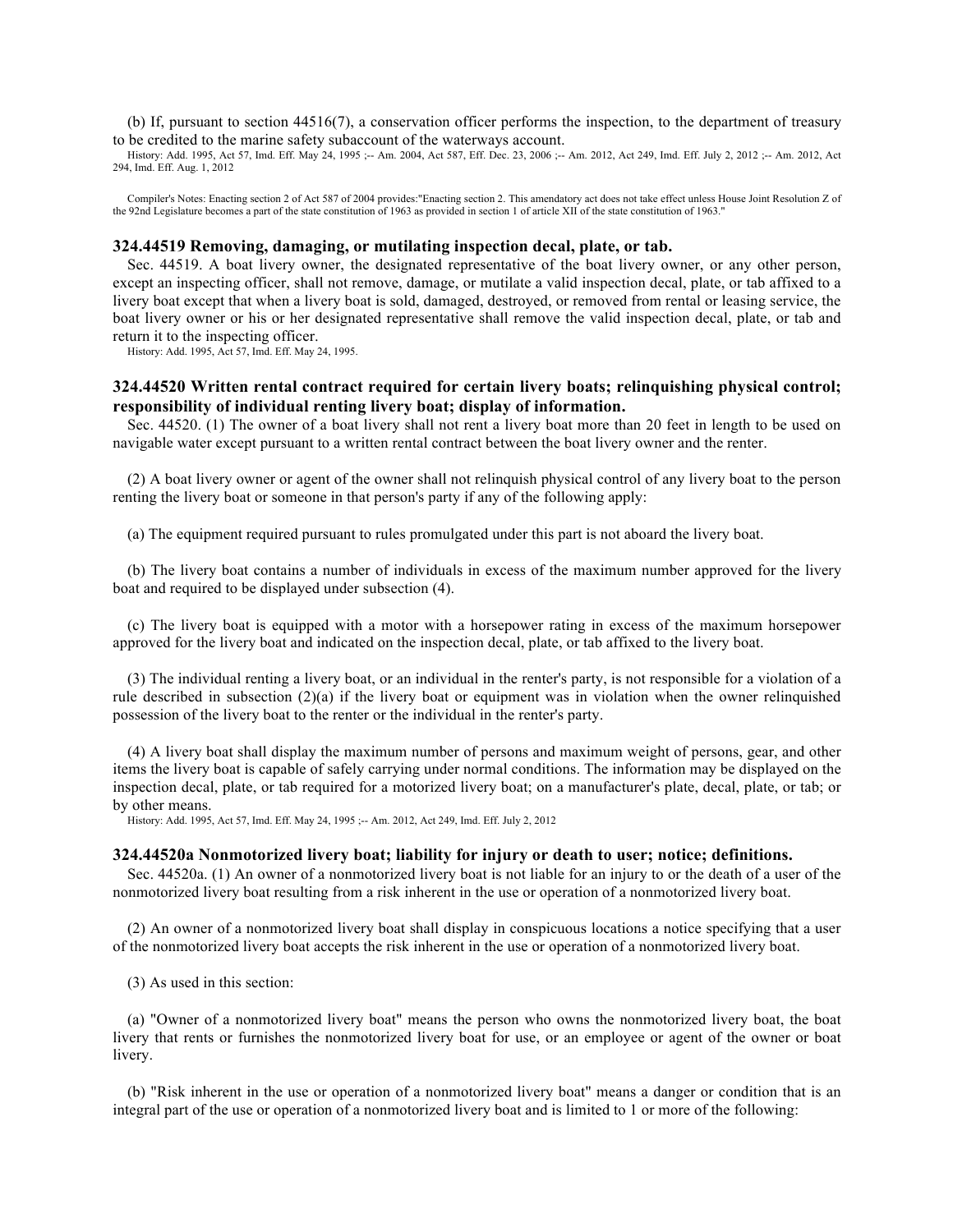(b) If, pursuant to section 44516(7), a conservation officer performs the inspection, to the department of treasury to be credited to the marine safety subaccount of the waterways account.

History: Add. 1995, Act 57, Imd. Eff. May 24, 1995 ;-- Am. 2004, Act 587, Eff. Dec. 23, 2006 ;-- Am. 2012, Act 249, Imd. Eff. July 2, 2012 ;-- Am. 2012, Act 294, Imd. Eff. Aug. 1, 2012

Compiler's Notes: Enacting section 2 of Act 587 of 2004 provides:"Enacting section 2. This amendatory act does not take effect unless House Joint Resolution Z of the 92nd Legislature becomes a part of the state constitution of 1963 as provided in section 1 of article XII of the state constitution of 1963."

### **324.44519 Removing, damaging, or mutilating inspection decal, plate, or tab.**

Sec. 44519. A boat livery owner, the designated representative of the boat livery owner, or any other person, except an inspecting officer, shall not remove, damage, or mutilate a valid inspection decal, plate, or tab affixed to a livery boat except that when a livery boat is sold, damaged, destroyed, or removed from rental or leasing service, the boat livery owner or his or her designated representative shall remove the valid inspection decal, plate, or tab and return it to the inspecting officer.

History: Add. 1995, Act 57, Imd. Eff. May 24, 1995.

# **324.44520 Written rental contract required for certain livery boats; relinquishing physical control; responsibility of individual renting livery boat; display of information.**

Sec. 44520. (1) The owner of a boat livery shall not rent a livery boat more than 20 feet in length to be used on navigable water except pursuant to a written rental contract between the boat livery owner and the renter.

(2) A boat livery owner or agent of the owner shall not relinquish physical control of any livery boat to the person renting the livery boat or someone in that person's party if any of the following apply:

(a) The equipment required pursuant to rules promulgated under this part is not aboard the livery boat.

(b) The livery boat contains a number of individuals in excess of the maximum number approved for the livery boat and required to be displayed under subsection (4).

(c) The livery boat is equipped with a motor with a horsepower rating in excess of the maximum horsepower approved for the livery boat and indicated on the inspection decal, plate, or tab affixed to the livery boat.

(3) The individual renting a livery boat, or an individual in the renter's party, is not responsible for a violation of a rule described in subsection  $(2)(a)$  if the livery boat or equipment was in violation when the owner relinquished possession of the livery boat to the renter or the individual in the renter's party.

(4) A livery boat shall display the maximum number of persons and maximum weight of persons, gear, and other items the livery boat is capable of safely carrying under normal conditions. The information may be displayed on the inspection decal, plate, or tab required for a motorized livery boat; on a manufacturer's plate, decal, plate, or tab; or by other means.

History: Add. 1995, Act 57, Imd. Eff. May 24, 1995 ;-- Am. 2012, Act 249, Imd. Eff. July 2, 2012

### **324.44520a Nonmotorized livery boat; liability for injury or death to user; notice; definitions.**

Sec. 44520a. (1) An owner of a nonmotorized livery boat is not liable for an injury to or the death of a user of the nonmotorized livery boat resulting from a risk inherent in the use or operation of a nonmotorized livery boat.

(2) An owner of a nonmotorized livery boat shall display in conspicuous locations a notice specifying that a user of the nonmotorized livery boat accepts the risk inherent in the use or operation of a nonmotorized livery boat.

(3) As used in this section:

(a) "Owner of a nonmotorized livery boat" means the person who owns the nonmotorized livery boat, the boat livery that rents or furnishes the nonmotorized livery boat for use, or an employee or agent of the owner or boat livery.

(b) "Risk inherent in the use or operation of a nonmotorized livery boat" means a danger or condition that is an integral part of the use or operation of a nonmotorized livery boat and is limited to 1 or more of the following: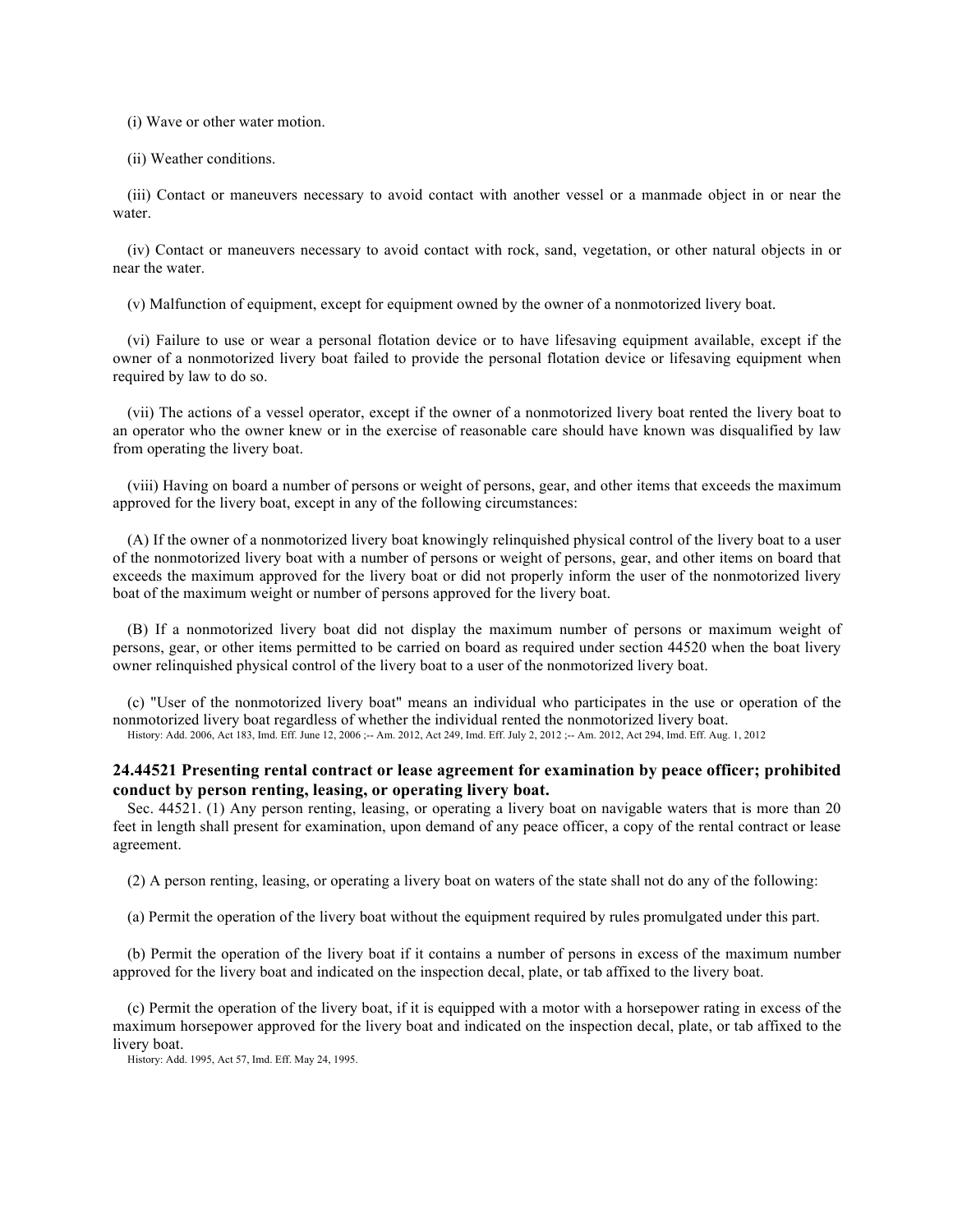(i) Wave or other water motion.

(ii) Weather conditions.

(iii) Contact or maneuvers necessary to avoid contact with another vessel or a manmade object in or near the water.

(iv) Contact or maneuvers necessary to avoid contact with rock, sand, vegetation, or other natural objects in or near the water.

(v) Malfunction of equipment, except for equipment owned by the owner of a nonmotorized livery boat.

(vi) Failure to use or wear a personal flotation device or to have lifesaving equipment available, except if the owner of a nonmotorized livery boat failed to provide the personal flotation device or lifesaving equipment when required by law to do so.

(vii) The actions of a vessel operator, except if the owner of a nonmotorized livery boat rented the livery boat to an operator who the owner knew or in the exercise of reasonable care should have known was disqualified by law from operating the livery boat.

(viii) Having on board a number of persons or weight of persons, gear, and other items that exceeds the maximum approved for the livery boat, except in any of the following circumstances:

(A) If the owner of a nonmotorized livery boat knowingly relinquished physical control of the livery boat to a user of the nonmotorized livery boat with a number of persons or weight of persons, gear, and other items on board that exceeds the maximum approved for the livery boat or did not properly inform the user of the nonmotorized livery boat of the maximum weight or number of persons approved for the livery boat.

(B) If a nonmotorized livery boat did not display the maximum number of persons or maximum weight of persons, gear, or other items permitted to be carried on board as required under section 44520 when the boat livery owner relinquished physical control of the livery boat to a user of the nonmotorized livery boat.

(c) "User of the nonmotorized livery boat" means an individual who participates in the use or operation of the nonmotorized livery boat regardless of whether the individual rented the nonmotorized livery boat. History: Add. 2006, Act 183, Imd. Eff. June 12, 2006 ;-- Am. 2012, Act 249, Imd. Eff. July 2, 2012 ;-- Am. 2012, Act 294, Imd. Eff. Aug. 1, 2012

### **24.44521 Presenting rental contract or lease agreement for examination by peace officer; prohibited conduct by person renting, leasing, or operating livery boat.**

Sec. 44521. (1) Any person renting, leasing, or operating a livery boat on navigable waters that is more than 20 feet in length shall present for examination, upon demand of any peace officer, a copy of the rental contract or lease agreement.

(2) A person renting, leasing, or operating a livery boat on waters of the state shall not do any of the following:

(a) Permit the operation of the livery boat without the equipment required by rules promulgated under this part.

(b) Permit the operation of the livery boat if it contains a number of persons in excess of the maximum number approved for the livery boat and indicated on the inspection decal, plate, or tab affixed to the livery boat.

(c) Permit the operation of the livery boat, if it is equipped with a motor with a horsepower rating in excess of the maximum horsepower approved for the livery boat and indicated on the inspection decal, plate, or tab affixed to the livery boat.

History: Add. 1995, Act 57, Imd. Eff. May 24, 1995.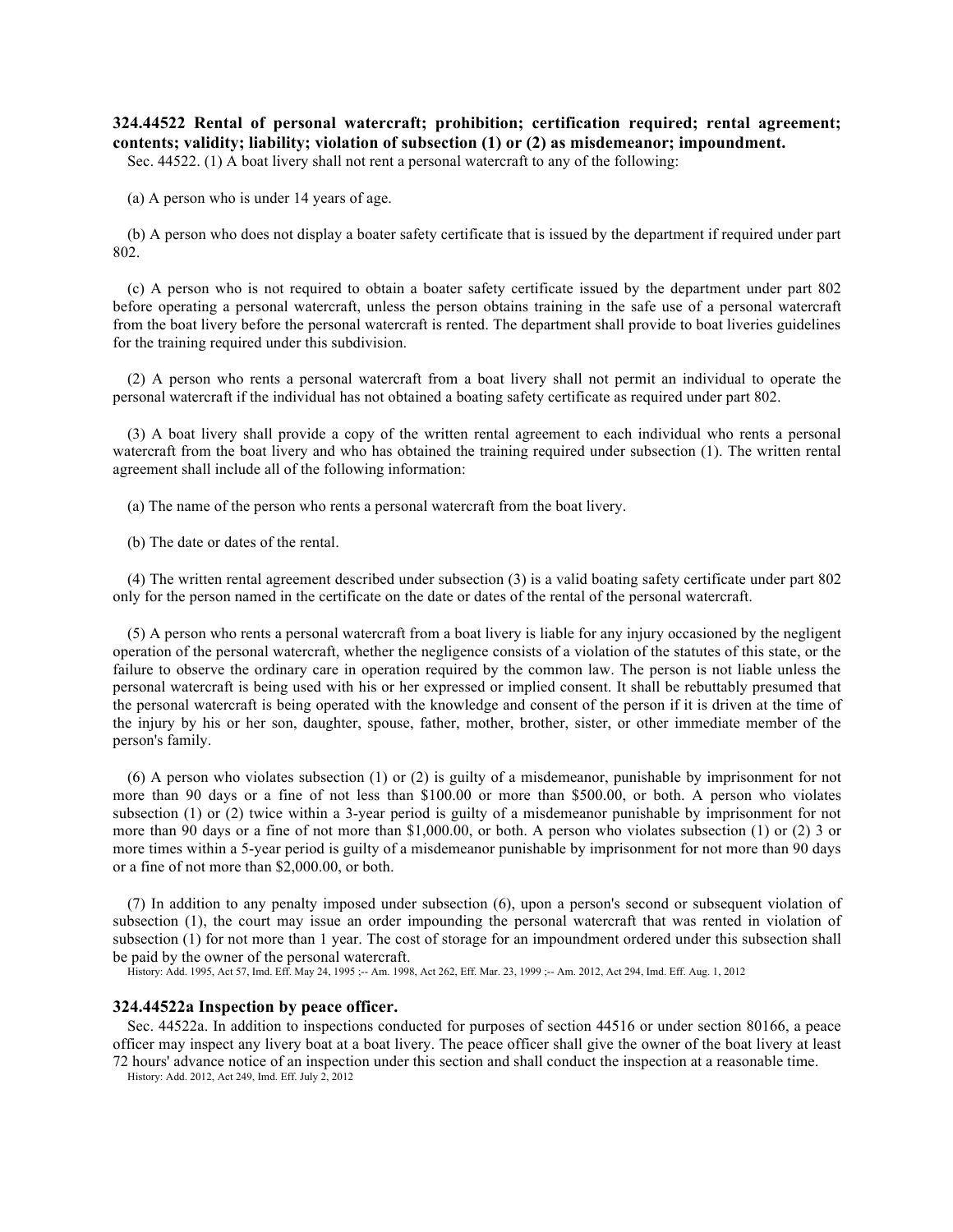**324.44522 Rental of personal watercraft; prohibition; certification required; rental agreement; contents; validity; liability; violation of subsection (1) or (2) as misdemeanor; impoundment.** 

Sec. 44522. (1) A boat livery shall not rent a personal watercraft to any of the following:

(a) A person who is under 14 years of age.

(b) A person who does not display a boater safety certificate that is issued by the department if required under part 802.

(c) A person who is not required to obtain a boater safety certificate issued by the department under part 802 before operating a personal watercraft, unless the person obtains training in the safe use of a personal watercraft from the boat livery before the personal watercraft is rented. The department shall provide to boat liveries guidelines for the training required under this subdivision.

(2) A person who rents a personal watercraft from a boat livery shall not permit an individual to operate the personal watercraft if the individual has not obtained a boating safety certificate as required under part 802.

(3) A boat livery shall provide a copy of the written rental agreement to each individual who rents a personal watercraft from the boat livery and who has obtained the training required under subsection (1). The written rental agreement shall include all of the following information:

(a) The name of the person who rents a personal watercraft from the boat livery.

(b) The date or dates of the rental.

(4) The written rental agreement described under subsection (3) is a valid boating safety certificate under part 802 only for the person named in the certificate on the date or dates of the rental of the personal watercraft.

(5) A person who rents a personal watercraft from a boat livery is liable for any injury occasioned by the negligent operation of the personal watercraft, whether the negligence consists of a violation of the statutes of this state, or the failure to observe the ordinary care in operation required by the common law. The person is not liable unless the personal watercraft is being used with his or her expressed or implied consent. It shall be rebuttably presumed that the personal watercraft is being operated with the knowledge and consent of the person if it is driven at the time of the injury by his or her son, daughter, spouse, father, mother, brother, sister, or other immediate member of the person's family.

(6) A person who violates subsection (1) or (2) is guilty of a misdemeanor, punishable by imprisonment for not more than 90 days or a fine of not less than \$100.00 or more than \$500.00, or both. A person who violates subsection (1) or (2) twice within a 3-year period is guilty of a misdemeanor punishable by imprisonment for not more than 90 days or a fine of not more than \$1,000.00, or both. A person who violates subsection (1) or (2) 3 or more times within a 5-year period is guilty of a misdemeanor punishable by imprisonment for not more than 90 days or a fine of not more than \$2,000.00, or both.

(7) In addition to any penalty imposed under subsection (6), upon a person's second or subsequent violation of subsection (1), the court may issue an order impounding the personal watercraft that was rented in violation of subsection (1) for not more than 1 year. The cost of storage for an impoundment ordered under this subsection shall be paid by the owner of the personal watercraft.

History: Add. 1995, Act 57, Imd. Eff. May 24, 1995 ;-- Am. 1998, Act 262, Eff. Mar. 23, 1999 ;-- Am. 2012, Act 294, Imd. Eff. Aug. 1, 2012

#### **324.44522a Inspection by peace officer.**

Sec. 44522a. In addition to inspections conducted for purposes of section 44516 or under section 80166, a peace officer may inspect any livery boat at a boat livery. The peace officer shall give the owner of the boat livery at least 72 hours' advance notice of an inspection under this section and shall conduct the inspection at a reasonable time.

History: Add. 2012, Act 249, Imd. Eff. July 2, 2012